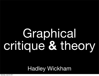# Graphical critique **&** theory

#### Hadley Wickham

Saturday, July 23, 2011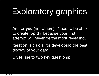# Exploratory graphics

Are for **you** (not others). Need to be able to create rapidly because your first attempt will never be the most revealing.

Iteration is crucial for developing the best display of your data.

Gives rise to two key questions: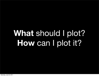# **What** should I plot? **How** can I plot it?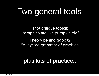## Two general tools

Plot critique toolkit: "graphics are like pumpkin pie"

Theory behind ggplot2: "A layered grammar of graphics"

#### plus lots of practice...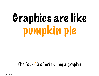# Graphics are like pumpkin pie

#### The four C's of critiquing a graphic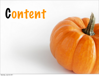# Content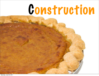# Construction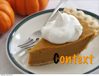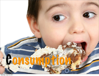

Saturday, July 23, 2011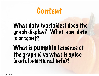## Content

### What data (variables) does the graph display? What non-data is present?

What is pumpkin lessence of the graphic) vs what is spice (useful additional info)?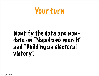

### Identify the data and nondata on "Napoleon's march" and "Building an electoral victory".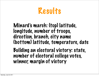

#### Minard's march: (top) latitude, longitude, number of troops, direction, branch, city name (bottom) latitude, temperature, date Building an electoral victory: state, number of electoral college votes,

winner, margin of victory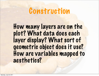## Construction

How many layers are on the plot? What data does each layer display? What sort of geometric object does it use? How are variables mapped to aesthetics?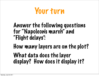

### Answer the following questions for "Napoleon's march" and "Flight delays":

How many layers are on the plot? What data does the layer display? How does it display it?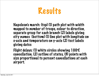

Napoleon's march: (top) (1) path plot with width mapped to number of troops, colour to direction, separate group for each branch (2) labels giving city names (bottom) (1) line plot with longitude on x-axis and temperature on y-axis (2) text labels giving dates

Flight delays: (1) white circles showing 100% cancellation, (2) outline of states, (3) points with size proportional to percent cancellations at each airport.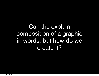### Can the explain composition of a graphic in words, but how do we create it?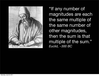

"If any number of magnitudes are each the same multiple of the same number of other magnitudes, then the sum is that multiple of the sum." *Euclid, ~300 BC*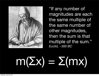

"If any number of magnitudes are each the same multiple of the same number of other magnitudes, then the sum is that multiple of the sum." *Euclid, ~300 BC*

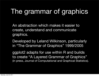## The grammar of graphics

An abstraction which makes it easier to create, understand and communicate graphics.

Developed by Leland Wilkinson, particularly in "The Grammar of Graphics" 1999/2005

ggplot2 adapts for use within R and builds to create "A Layered Grammar of Graphics" (in press, Journal of Computational and Graphical Statistics).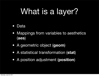## What is a layer?

- Data
- Mappings from variables to aesthetics (**aes**)
- A geometric object (**geom**)
- A statistical transformation (**stat**)
- A position adjustment (**position**)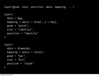layer(geom, stat, position, data, mapping, ...)

```
layer(
  data = mpg,mapping = aes(x = disp1, y = hwy),
  geom = "point", stat = "identity", 
   position = "identity"
)
layer(
   data = diamonds,
  mapping = aes(x = carat),
  geom = "bar",stat = "bin", position = "stack"
)
```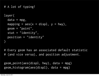```
# A lot of typing!
```

```
layer(
   data = mpg, 
  mapping = aes(x = displ, y = hwy),
   geom = "point", 
   stat = "identity", 
   position = "identity"
)
```
# Every geom has an associated default statistic # (and vice versa), and position adjustment.

```
geom_point(aes(displ, hwy), data = mpg)
geom_histogram(aes(displ), data = mpg)
```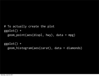```
# To actually create the plot
ggplot() + 
   geom_point(aes(displ, hwy), data = mpg)
```

```
ggplot() + 
   geom_histogram(aes(carat), data = diamonds)
```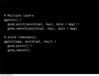```
# Multiple layers
ggplot() + 
  geom\_point(aes(disp1, hwy), data = mpg) + geom_smooth(aes(displ, hwy), data = mpg)
```

```
# Avoid redundancy:
ggplot(mpg, aes(displ, hwy)) + 
   geom_point() + 
   geom_smooth()
```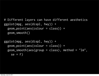```
# Different layers can have different aesthetics
ggplot(mpg, aes(displ, hwy)) + 
   geom_point(aes(colour = class)) + 
   geom_smooth()
```

```
ggplot(mpg, aes(displ, hwy)) + 
   geom_point(aes(colour = class)) + 
  geom\_smooth(aes(group = class), method = "lm",
    se = F)
```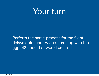### Your turn

Perform the same process for the flight delays data, and try and come up with the ggplot2 code that would create it.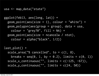usa <- map\_data("state")

```
ggplot(feb13, aes(long, lat)) + 
  geom\_point(aes(size = 1), colour = "white") + geom_polygon(aes(group = group), data = usa, 
    color = "grey70", fill = NA) + geom_point(aes(size = ncancelw / ntot), 
    colour = alpha("black", 1/2)
```

```
last_plot() + 
   scale_area("% cancelled", to = c(1, 8), 
    breaks = seq(0, 1, by = 0.2), limits = c(0, 1))scale_x_{continuous("", limits = c(-125, -67)),scale_y_{continuous("", limits = c(24, 50))
```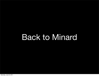## Back to Minard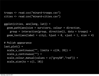```
troops <- read.csv("minard-troops.csv")
cities <- read.csv("minard-cities.csv")
```

```
ggplot(cities, aes(long, lat)) + 
   geom_path(aes(size = survivors, colour = direction, 
     group = interaction(group, direction)), data = troops) + 
  geom_text(aes(label = city), hjust = 0, vjust = 1, size = 4)
```

```
# Polish appearance
last_plot() + 
  scale_x_{continuous("", limits = c(24, 39)) + scale_y_continuous("") + 
   scale_colour_manual(values = c("grey50","red")) +
  scale_size(to = c(1, 10))
```